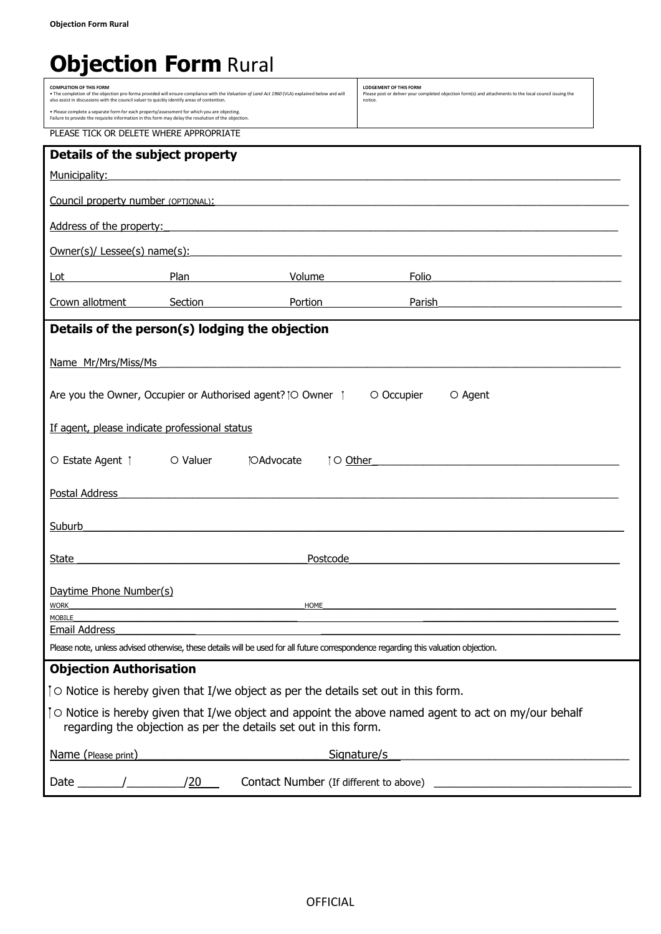| <b>Objection Form Rural</b> |  |  |
|-----------------------------|--|--|
|-----------------------------|--|--|

| <b>COMPLETION OF THIS FORM</b><br>also assist in discussions with the council valuer to quickly identify areas of contention.                                                                       | . The completion of the objection pro-forma provided will ensure compliance with the Valuation of Land Act 1960 (VLA) explained below and will |                          | <b>LODGEMENT OF THIS FORM</b><br>Please post or deliver your completed objection form(s) and attachments to the local council issuing the<br>notice. |  |  |
|-----------------------------------------------------------------------------------------------------------------------------------------------------------------------------------------------------|------------------------------------------------------------------------------------------------------------------------------------------------|--------------------------|------------------------------------------------------------------------------------------------------------------------------------------------------|--|--|
| . Please complete a separate form for each property/assessment for which you are objecting.<br>Failure to provide the requisite information in this form may delay the resolution of the objection. |                                                                                                                                                |                          |                                                                                                                                                      |  |  |
| PLEASE TICK OR DELETE WHERE APPROPRIATE                                                                                                                                                             |                                                                                                                                                |                          |                                                                                                                                                      |  |  |
| Details of the subject property                                                                                                                                                                     |                                                                                                                                                |                          |                                                                                                                                                      |  |  |
| Municipality:                                                                                                                                                                                       | <u> 1989 - Johann John Stein, market fan de Amerikaanske kommunister fan de Amerikaanske kommunister fan de Ameri</u>                          |                          |                                                                                                                                                      |  |  |
|                                                                                                                                                                                                     | <b>Council property number (OPTIONAL): COUNCIL COUNCIL COUNCIL COUNCIL COUNCIL COUNCIL COUNCIL COUNCIL COUNCIL</b>                             |                          |                                                                                                                                                      |  |  |
| Address of the property:                                                                                                                                                                            | <u> 1989 - Johann Stoff, deutscher Stoffen und der Stoffen und der Stoffen und der Stoffen und der Stoffen und der</u>                         |                          |                                                                                                                                                      |  |  |
| Owner(s)/ Lessee(s) name(s):                                                                                                                                                                        |                                                                                                                                                |                          | <u> 1989 - Jan James Sandarík (d. 1989)</u>                                                                                                          |  |  |
| Lot                                                                                                                                                                                                 | Plan                                                                                                                                           | <b>Volume Example 19</b> | Folio<br><u> 1989 - Andrea Andrew Maria (h. 1989).</u>                                                                                               |  |  |
| Crown allotment                                                                                                                                                                                     | Section                                                                                                                                        | <b>Portion</b>           | Parish                                                                                                                                               |  |  |
|                                                                                                                                                                                                     | Details of the person(s) lodging the objection                                                                                                 |                          |                                                                                                                                                      |  |  |
| Name Mr/Mrs/Miss/Ms                                                                                                                                                                                 |                                                                                                                                                |                          |                                                                                                                                                      |  |  |
|                                                                                                                                                                                                     | Are you the Owner, Occupier or Authorised agent? [O Owner 1                                                                                    |                          | O Occupier<br>O Agent                                                                                                                                |  |  |
| If agent, please indicate professional status                                                                                                                                                       |                                                                                                                                                |                          |                                                                                                                                                      |  |  |
| O Estate Agent                                                                                                                                                                                      | O Valuer<br><b>TOAdvocate</b>                                                                                                                  | <b>TO Other</b>          |                                                                                                                                                      |  |  |
| Postal Address                                                                                                                                                                                      |                                                                                                                                                |                          |                                                                                                                                                      |  |  |
| Suburb                                                                                                                                                                                              | <u> 1989 - Johann Barbara, martin amerikan basal dan berasal dan berasal dalam basal dalam basal dalam basal dan</u>                           |                          |                                                                                                                                                      |  |  |
| State                                                                                                                                                                                               |                                                                                                                                                | Postcode                 |                                                                                                                                                      |  |  |
|                                                                                                                                                                                                     |                                                                                                                                                |                          |                                                                                                                                                      |  |  |
| Daytime Phone Number(s)<br><b>WORK</b>                                                                                                                                                              |                                                                                                                                                | HOME                     |                                                                                                                                                      |  |  |
| MOBILE<br><b>Email Address</b>                                                                                                                                                                      |                                                                                                                                                |                          |                                                                                                                                                      |  |  |
| Please note, unless advised otherwise, these details will be used for all future correspondence regarding this valuation objection.                                                                 |                                                                                                                                                |                          |                                                                                                                                                      |  |  |
| <b>Objection Authorisation</b>                                                                                                                                                                      |                                                                                                                                                |                          |                                                                                                                                                      |  |  |
| To Notice is hereby given that I/we object as per the details set out in this form.                                                                                                                 |                                                                                                                                                |                          |                                                                                                                                                      |  |  |
| To Notice is hereby given that I/we object and appoint the above named agent to act on my/our behalf<br>regarding the objection as per the details set out in this form.                            |                                                                                                                                                |                          |                                                                                                                                                      |  |  |
| Signature/s<br>Name (Please print)                                                                                                                                                                  |                                                                                                                                                |                          |                                                                                                                                                      |  |  |
| /20<br>Contact Number (If different to above)<br>Date $\overline{\phantom{a}}$                                                                                                                      |                                                                                                                                                |                          |                                                                                                                                                      |  |  |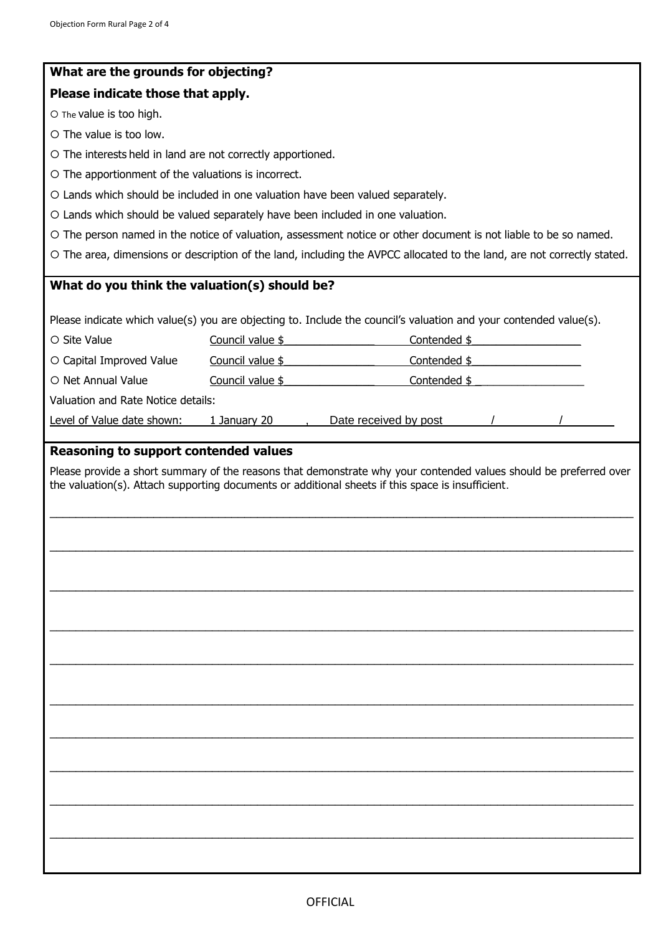| What are the grounds for objecting?                         |                                                                                                                         |
|-------------------------------------------------------------|-------------------------------------------------------------------------------------------------------------------------|
| Please indicate those that apply.                           |                                                                                                                         |
| O The value is too high.                                    |                                                                                                                         |
| O The value is too low.                                     |                                                                                                                         |
| O The interests held in land are not correctly apportioned. |                                                                                                                         |
| O The apportionment of the valuations is incorrect.         |                                                                                                                         |
|                                                             | O Lands which should be included in one valuation have been valued separately.                                          |
|                                                             | O Lands which should be valued separately have been included in one valuation.                                          |
|                                                             | O The person named in the notice of valuation, assessment notice or other document is not liable to be so named.        |
|                                                             | O The area, dimensions or description of the land, including the AVPCC allocated to the land, are not correctly stated. |
| What do you think the valuation(s) should be?               |                                                                                                                         |
|                                                             |                                                                                                                         |
|                                                             | Please indicate which value(s) you are objecting to. Include the council's valuation and your contended value(s).       |
| ○ Site Value                                                | Council value \$<br>Contended \$                                                                                        |
| O Capital Improved Value                                    | Council value \$<br>Contended \$                                                                                        |
| O Net Annual Value                                          | Council value \$<br>Contended \$                                                                                        |
| Valuation and Rate Notice details:                          |                                                                                                                         |
| Level of Value date shown:                                  | 1 January 20<br>Date received by post                                                                                   |
|                                                             | the valuation(s). Attach supporting documents or additional sheets if this space is insufficient.                       |
|                                                             |                                                                                                                         |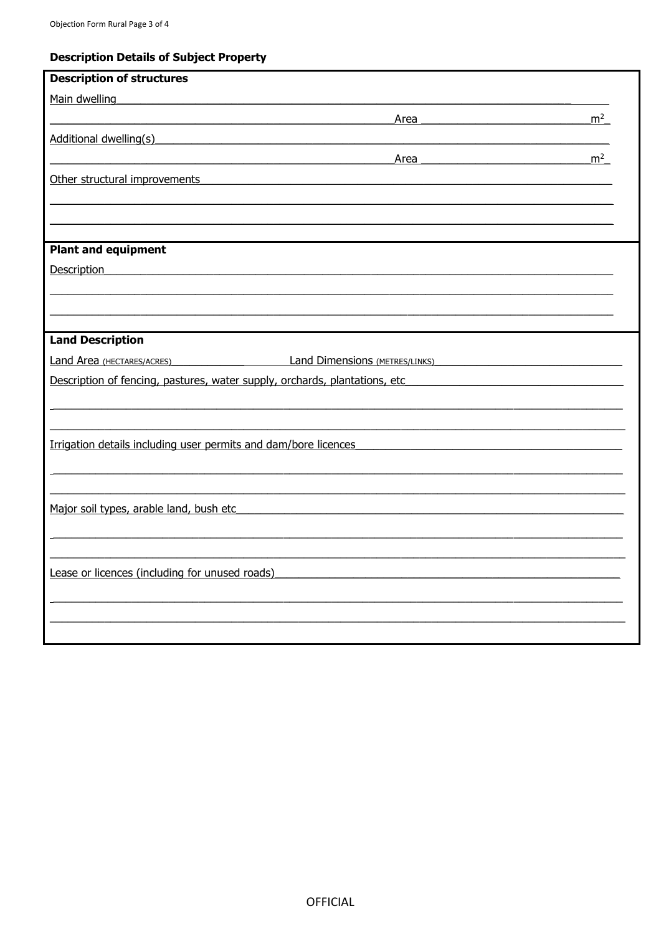## **Description Details of Subject Property**

| <b>Description of structures</b>                                                                                                       |                |  |  |  |
|----------------------------------------------------------------------------------------------------------------------------------------|----------------|--|--|--|
| Main dwelling<br><u> 1980 - Andrea Albert III, poet e post a provincia de la provincia de la provincia de la provincia de la provi</u> |                |  |  |  |
| Area                                                                                                                                   | m <sup>2</sup> |  |  |  |
| Additional dwelling(s) National Additional Additional Additional Additional Additional Additional Additional A                         |                |  |  |  |
| Area<br><u> 1980 - Johann John Stein, markin santa a</u>                                                                               | m <sup>2</sup> |  |  |  |
| Other structural improvements                                                                                                          |                |  |  |  |
|                                                                                                                                        |                |  |  |  |
|                                                                                                                                        |                |  |  |  |
|                                                                                                                                        |                |  |  |  |
| <b>Plant and equipment</b>                                                                                                             |                |  |  |  |
| <b>Description</b>                                                                                                                     |                |  |  |  |
|                                                                                                                                        |                |  |  |  |
|                                                                                                                                        |                |  |  |  |
|                                                                                                                                        |                |  |  |  |
| <b>Land Description</b>                                                                                                                |                |  |  |  |
| Land Area (HECTARES/ACRES) Land Dimensions (METRES/LINKS)                                                                              |                |  |  |  |
| Description of fencing, pastures, water supply, orchards, plantations, etc                                                             |                |  |  |  |
|                                                                                                                                        |                |  |  |  |
|                                                                                                                                        |                |  |  |  |
| Irrigation details including user permits and dam/bore licences                                                                        |                |  |  |  |
|                                                                                                                                        |                |  |  |  |
|                                                                                                                                        |                |  |  |  |
|                                                                                                                                        |                |  |  |  |
| Major soil types, arable land, bush etc                                                                                                |                |  |  |  |
|                                                                                                                                        |                |  |  |  |
|                                                                                                                                        |                |  |  |  |
| Lease or licences (including for unused roads)                                                                                         |                |  |  |  |
|                                                                                                                                        |                |  |  |  |
|                                                                                                                                        |                |  |  |  |
|                                                                                                                                        |                |  |  |  |